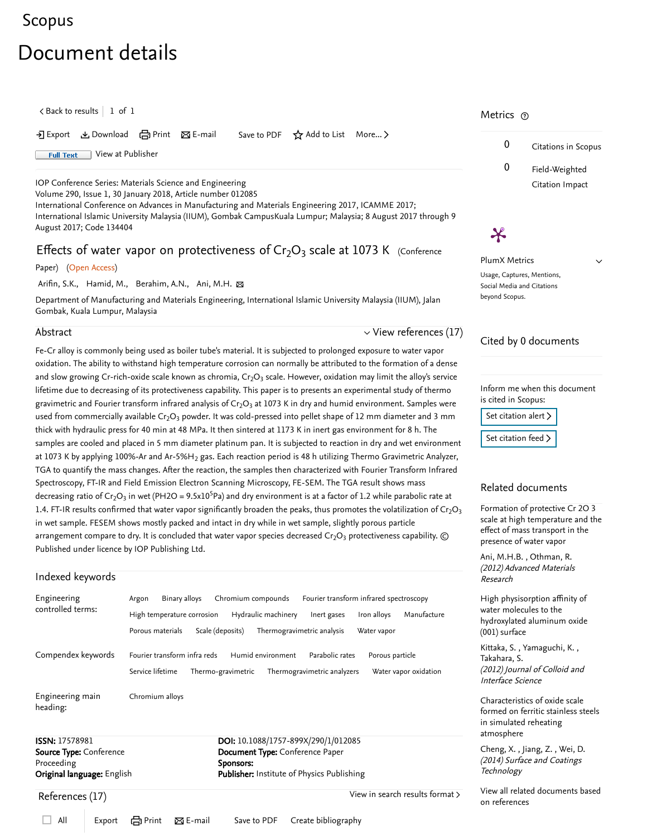# <span id="page-0-1"></span>[Scopus](https://www.scopus.com/home.uri?zone=header&origin=searchbasic)

# Document details

 $\zeta$  [Back to results](https://www.scopus.com/results/results.uri?sort=plf-f&src=s&st1=Effects+of+water+vapor+on+protectiveness&st2=&sid=7ff5281bf294ce83c136356f60f837a7&sot=b&sdt=b&sl=47&s=TITLE%28Effects+of+water+vapor+on+protectiveness%29&offset=1&origin=recordpage)  $\vert$  1 of 1

• Export と Download ( Print ⊠ E-mail Save to PDF ☆ Add to List More... 〉

**Full Text** [View at Publisher](https://www.scopus.com/redirect/linking.uri?targetURL=https%3a%2f%2fdoi.org%2f10.1088%2f1757-899X%2f290%2f1%2f012085&locationID=1&categoryID=4&eid=2-s2.0-85042316666&issn=17578981&linkType=ViewAtPublisher&year=2018&origin=recordpage&dig=8fe43286560da2e22ad81ddca2c89bbb&recordRank=)

[IOP Conference Series: Materials Science and Engineering](https://www.scopus.com/sourceid/19700200831?origin=recordpage)

Volume 290, Issue 1, 30 January 2018, Article number 012085

International Conference on Advances in Manufacturing and Materials Engineering 2017, ICAMME 2017; International Islamic University Malaysia (IIUM), Gombak CampusKuala Lumpur; Malaysia; 8 August 2017 through 9 August 2017; Code 134404

# Effects of water vapor on protectiveness of  $Cr_2O_3$  scale at 1073 K (Conference

#### Paper) (Open Access)

[Arifin, S.K.](https://www.scopus.com/authid/detail.uri?authorId=57200720293&eid=2-s2.0-85042316666), [Hamid, M.](https://www.scopus.com/authid/detail.uri?authorId=57200729874&eid=2-s2.0-85042316666), [Berahim, A.N.](https://www.scopus.com/authid/detail.uri?authorId=57200727686&eid=2-s2.0-85042316666), [Ani, M.H.](https://www.scopus.com/authid/detail.uri?authorId=35319766500&eid=2-s2.0-85042316666) ⊠

Department of Manufacturing and Materials Engineering, International Islamic University Malaysia (IIUM), Jalan Gombak, Kuala Lumpur, Malaysia

#### Abstract

 $\vee$  [View references \(17\)](#page-0-0)

Fe-Cr alloy is commonly being used as boiler tube's material. It is subjected to prolonged exposure to water vapor oxidation. The ability to withstand high temperature corrosion can normally be attributed to the formation of a dense and slow growing Cr-rich-oxide scale known as chromia, Cr $_2$ O $_3$  scale. However, oxidation may limit the alloy's service lifetime due to decreasing of its protectiveness capability. This paper is to presents an experimental study of thermo gravimetric and Fourier transform infrared analysis of Cr $_2$ O $_3$  at 1073 K in dry and humid environment. Samples were used from commercially available Cr<sub>2</sub>O<sub>3</sub> powder. It was cold-pressed into pellet shape of 12 mm diameter and 3 mm thick with hydraulic press for 40 min at 48 MPa. It then sintered at 1173 K in inert gas environment for 8 h. The samples are cooled and placed in 5 mm diameter platinum pan. It is subjected to reaction in dry and wet environment at 1073 K by applying 100%-Ar and Ar-5%H<sub>2</sub> gas. Each reaction period is 48 h utilizing Thermo Gravimetric Analyzer, TGA to quantify the mass changes. After the reaction, the samples then characterized with Fourier Transform Infrared Spectroscopy, FT-IR and Field Emission Electron Scanning Microscopy, FE-SEM. The TGA result shows mass decreasing ratio of Cr<sub>2</sub>O<sub>3</sub> in wet (PH2O = 9.5x10<sup>5</sup>Pa) and dry environment is at a factor of 1.2 while parabolic rate at 1.4. FT-IR results confirmed that water vapor significantly broaden the peaks, thus promotes the volatilization of Cr<sub>2</sub>O<sub>3</sub> in wet sample. FESEM shows mostly packed and intact in dry while in wet sample, slightly porous particle arrangement compare to dry. It is concluded that water vapor species decreased Cr $_2$ O $_3$  protectiveness capability.  $\odot$ Published under licence by IOP Publishing Ltd.

#### Indexed keywords

| Engineering<br>controlled terms: | Argon<br>Porous materials | Binary alloys<br>High temperature corrosion | Scale (deposits)   | Chromium compounds<br>Hydraulic machinery | Fourier transform infrared spectroscopy<br>Inert gases<br>Thermogravimetric analysis | Iron alloys<br>Water vapor | Manufacture                     |
|----------------------------------|---------------------------|---------------------------------------------|--------------------|-------------------------------------------|--------------------------------------------------------------------------------------|----------------------------|---------------------------------|
| Compendex keywords               | Service lifetime          | Fourier transform infra reds                | Thermo-gravimetric | Humid environment                         | Parabolic rates<br>Thermogravimetric analyzers                                       | Porous particle            | Water vapor oxidation           |
| Engineering main<br>heading:     | Chromium alloys           |                                             |                    |                                           |                                                                                      |                            |                                 |
| <b>ISSN: 17578981</b>            |                           |                                             |                    |                                           | DOI: 10.1088/1757-899X/290/1/012085                                                  |                            |                                 |
| <b>Source Type:</b> Conference   |                           |                                             |                    | <b>Document Type:</b> Conference Paper    |                                                                                      |                            |                                 |
| Proceeding                       |                           |                                             | Sponsors:          |                                           |                                                                                      |                            |                                 |
| Original language: English       |                           |                                             |                    |                                           | <b>Publisher: Institute of Physics Publishing</b>                                    |                            |                                 |
| References (17)                  |                           |                                             |                    |                                           |                                                                                      |                            | View in search results format > |

## Metrics ල

 $\boldsymbol{\varkappa}$ 



 $\checkmark$ 

PlumX Metrics Usage, Captures, Mentions, Social Media and Citations beyond Scopus.

## Cited by 0 documents

Inform me when this document is cited in Scopus:

[Set citation alert](https://www.scopus.com/alert/form/document.uri?eid=2-s2.0-85042316666&ATP=document&discoveryEngineID=scopusdoccite&discoveryEventID=NEW&mode=C&AID=NEW&origin=recordpage&view=extended) >

[Set citation feed](https://www.scopus.com/results/rss/handler.uri?citeEid=2-s2.0-85042316666) >

#### Related documents

Formation of protective Cr 2O 3 [scale at high temperature and the](https://www.scopus.com/record/display.uri?origin=recordpage&zone=relatedDocuments&eid=2-s2.0-83655197284&citeCnt=0&noHighlight=false&sort=plf-f&src=s&st1=Effects+of+water+vapor+on+protectiveness&st2=&sid=7ff5281bf294ce83c136356f60f837a7&sot=b&sdt=b&sl=47&s=TITLE%28Effects+of+water+vapor+on+protectiveness%29&relpos=0) effect of mass transport in the presence of water vapor

, [Ani, M.H.B.](https://www.scopus.com/authid/detail.uri?origin=recordpage&authorId=35319766500&zone=relatedDocuments) [Othman, R.](https://www.scopus.com/authid/detail.uri?origin=recordpage&authorId=7003407400&zone=relatedDocuments) (2012) Advanced Materials Research

High physisorption affinity of water molecules to the [hydroxylated aluminum oxide](https://www.scopus.com/record/display.uri?origin=recordpage&zone=relatedDocuments&eid=2-s2.0-84855824911&citeCnt=0&noHighlight=false&sort=plf-f&src=s&st1=Effects+of+water+vapor+on+protectiveness&st2=&sid=7ff5281bf294ce83c136356f60f837a7&sot=b&sdt=b&sl=47&s=TITLE%28Effects+of+water+vapor+on+protectiveness%29&relpos=1) (001) surface

, , [Kittaka, S.](https://www.scopus.com/authid/detail.uri?origin=recordpage&authorId=7004104691&zone=relatedDocuments) Yamaguchi, K. (2012) Journal of Colloid and Interface Science [Takahara, S.](https://www.scopus.com/authid/detail.uri?origin=recordpage&authorId=7102323625&zone=relatedDocuments)

Characteristics of oxide scale [formed on ferritic stainless steels](https://www.scopus.com/record/display.uri?origin=recordpage&zone=relatedDocuments&eid=2-s2.0-84912525502&citeCnt=0&noHighlight=false&sort=plf-f&src=s&st1=Effects+of+water+vapor+on+protectiveness&st2=&sid=7ff5281bf294ce83c136356f60f837a7&sot=b&sdt=b&sl=47&s=TITLE%28Effects+of+water+vapor+on+protectiveness%29&relpos=2) in simulated reheating atmosphere

,, [Cheng, X.](https://www.scopus.com/authid/detail.uri?origin=recordpage&authorId=55757136600&zone=relatedDocuments) Jiang, Z. [Wei, D.](https://www.scopus.com/authid/detail.uri?origin=recordpage&authorId=7202909167&zone=relatedDocuments) (2014) Surface and Coatings **Technology** 

[View all related documents based](https://www.scopus.com/search/submit/mlt.uri?eid=2-s2.0-85042316666&src=s&all=true&origin=recordpage&method=ref&zone=relatedDocuments) on references

<span id="page-0-0"></span>All Export Print E-mail Save to PDF Create bibliography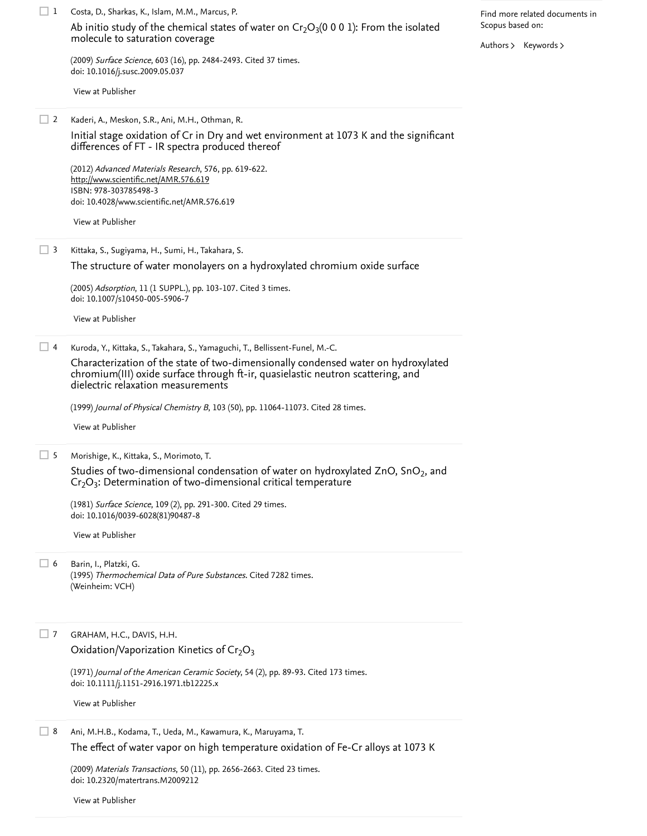Costa, D., Sharkas, K., Islam, M.M., Marcus, P. 1 (2009) *Surface Science*, 603 (16), pp. 2484-2493. [Cited 37 times](https://www.scopus.com/search/submit/citedby.uri?eid=2-s2.0-85042316666&refeid=2-s2.0-68149119247&src=s&origin=reflist&refstat=core). doi: 10.1016/j.susc.2009.05.037 Kaderi, A., Meskon, S.R., Ani, M.H., Othman, R. (2012) Advanced Materials Research, 576, pp. 619-622. ISBN: 978-303785498-3 doi: 10.4028/www.scientific.net/AMR.576.619 Kittaka, S., Sugiyama, H., Sumi, H., Takahara, S. (2005) *Adsorption*, 11 (1 SUPPL.), pp. 103-107. [Cited 3 times](https://www.scopus.com/search/submit/citedby.uri?eid=2-s2.0-85042316666&refeid=2-s2.0-25144493317&src=s&origin=reflist&refstat=core). doi: 10.1007/s10450-005-5906-7 Kuroda, Y., Kittaka, S., Takahara, S., Yamaguchi, T., Bellissent-Funel, M.-C. (1999) *Journal of Physical Chemistry B*, 103 (50), pp. 11064-11073. [Cited 28 times](https://www.scopus.com/search/submit/citedby.uri?eid=2-s2.0-85042316666&refeid=2-s2.0-0001912741&src=s&origin=reflist&refstat=core). Morishige, K., Kittaka, S., Morimoto, T. 5 (1981) *Surface Science*, 109 (2), pp. 291-300. [Cited 29 times](https://www.scopus.com/search/submit/citedby.uri?eid=2-s2.0-85042316666&refeid=2-s2.0-0011178681&src=s&origin=reflist&refstat=core). doi: 10.1016/0039-6028(81)90487-8 Barin, I., Platzki, G. (1995) *Thermochemical Data of Pure Substances*. [Cited 7282 times](https://www.scopus.com/search/submit/citedby.uri?eid=2-s2.0-85042316666&refeid=2-s2.0-0003477976&src=s&origin=reflist&refstat=dummy). (Weinheim: VCH) GRAHAM, H.C., DAVIS, H.H. (1971) *Journal of the American Ceramic Society*, 54 (2), pp. 89-93. [Cited 173 times](https://www.scopus.com/search/submit/citedby.uri?eid=2-s2.0-85042316666&refeid=2-s2.0-0015019005&src=s&origin=reflist&refstat=core).<br>doi: 10.1111/j.1151-2916.1971.tb12225.x<br>[View at Publisher](https://www.scopus.com/redirect/linking.uri?targetURL=https%3a%2f%2fdoi.org%2f10.1111%2fj.1151-2916.1971.tb12225.x&locationID=3&categoryID=4&eid=2-s2.0-0015019005&issn=15512916&linkType=ViewAtPublisher&year=1971&origin=reflist&dig=6a4cf434534aff9ac8b2864fe4d7c7fd&recordRank=) doi: 10.1111/j.1151-2916.1971.tb12225.x Ani, M.H.B., Kodama, T., Ueda, M., Kawamura, K., Maruyama, T. 8 (2009) *Materials Transactions*, 50 (11), pp. 2656-2663. [Cited 23 times](https://www.scopus.com/search/submit/citedby.uri?eid=2-s2.0-85042316666&refeid=2-s2.0-73349099678&src=s&origin=reflist&refstat=core). doi: 10.2320/matertrans.M2009212 [Ab initio study of the chemical states of water on Cr](https://www.scopus.com/record/display.uri?eid=2-s2.0-68149119247&origin=reflist&sort=plf-f&src=s&st1=Effects+of+water+vapor+on+protectiveness&st2=&sid=7ff5281bf294ce83c136356f60f837a7&sot=b&sdt=b&sl=47&s=TITLE%28Effects+of+water+vapor+on+protectiveness%29&recordRank=) $_2$ O $_3$ (0 0 0 1): From the isolated molecule to saturation coverage [View at Publisher](https://www.scopus.com/redirect/linking.uri?targetURL=https%3a%2f%2fdoi.org%2f10.1016%2fj.susc.2009.05.037&locationID=3&categoryID=4&eid=2-s2.0-68149119247&issn=00396028&linkType=ViewAtPublisher&year=2009&origin=reflist&dig=9aa4a64b393db703e61c66662729d870&recordRank=)  $\Box$  2 [Initial stage oxidation of Cr in Dry and wet environment at 1073 K and the significant](https://www.scopus.com/record/display.uri?eid=2-s2.0-84869464341&origin=reflist&sort=plf-f&src=s&st1=Effects+of+water+vapor+on+protectiveness&st2=&sid=7ff5281bf294ce83c136356f60f837a7&sot=b&sdt=b&sl=47&s=TITLE%28Effects+of+water+vapor+on+protectiveness%29&recordRank=) differences of FT - IR spectra produced thereof <http://www.scientific.net/AMR.576.619> [View at Publisher](https://www.scopus.com/redirect/linking.uri?targetURL=https%3a%2f%2fdoi.org%2f10.4028%2fwww.scientific.net%2fAMR.576.619&locationID=3&categoryID=4&eid=2-s2.0-84869464341&issn=10226680&linkType=ViewAtPublisher&year=2012&origin=reflist&dig=d444b8a98d9b8694fa07678dff244254&recordRank=)  $\Box$  3 [The structure of water monolayers on a hydroxylated chromium oxide surface](https://www.scopus.com/record/display.uri?eid=2-s2.0-25144493317&origin=reflist&sort=plf-f&src=s&st1=Effects+of+water+vapor+on+protectiveness&st2=&sid=7ff5281bf294ce83c136356f60f837a7&sot=b&sdt=b&sl=47&s=TITLE%28Effects+of+water+vapor+on+protectiveness%29&recordRank=) [View at Publisher](https://www.scopus.com/redirect/linking.uri?targetURL=https%3a%2f%2fdoi.org%2f10.1007%2fs10450-005-5906-7&locationID=3&categoryID=4&eid=2-s2.0-25144493317&issn=09295607&linkType=ViewAtPublisher&year=2005&origin=reflist&dig=3c2a40ad985efcc2417b5176722c1801&recordRank=)  $\Box$  4 [Characterization of the state of two-dimensionally condensed water on hydroxylated](https://www.scopus.com/record/display.uri?eid=2-s2.0-0001912741&origin=reflist&sort=plf-f&src=s&st1=Effects+of+water+vapor+on+protectiveness&st2=&sid=7ff5281bf294ce83c136356f60f837a7&sot=b&sdt=b&sl=47&s=TITLE%28Effects+of+water+vapor+on+protectiveness%29&recordRank=) chromium(III) oxide surface through ft-ir, quasielastic neutron scattering, and dielectric relaxation measurements [View at Publisher](https://www.scopus.com/redirect/linking.uri?targetURL=http%3a%2f%2fdx.doi.org%2f10.1021%2fjp9912511&locationID=3&categoryID=4&eid=2-s2.0-0001912741&issn=15206106&linkType=ViewAtPublisher&year=1999&origin=reflist&dig=0eb6f01cfb67d7eb45c06569a1d31438&recordRank=) [Studies of two-dimensional condensation of water on hydroxylated ZnO, SnO](https://www.scopus.com/record/display.uri?eid=2-s2.0-0011178681&origin=reflist&sort=plf-f&src=s&st1=Effects+of+water+vapor+on+protectiveness&st2=&sid=7ff5281bf294ce83c136356f60f837a7&sot=b&sdt=b&sl=47&s=TITLE%28Effects+of+water+vapor+on+protectiveness%29&recordRank=) $_2$ , and  $\rm Cr_2O_3$ : Determination of two-dimensional critical temperature [View at Publisher](https://www.scopus.com/redirect/linking.uri?targetURL=https%3a%2f%2fdoi.org%2f10.1016%2f0039-6028%2881%2990487-8&locationID=3&categoryID=4&eid=2-s2.0-0011178681&issn=00396028&linkType=ViewAtPublisher&year=1981&origin=reflist&dig=4e07b807a887b1bad25e2ded29f98b65&recordRank=)  $\Box$  6  $\Box$  7 Oxidation/Vaporization Kinetics of  $Cr_2O_3$ [The effect of water vapor on high temperature oxidation of Fe-Cr alloys at 1073 K](https://www.scopus.com/record/display.uri?eid=2-s2.0-73349099678&origin=reflist&sort=plf-f&src=s&st1=Effects+of+water+vapor+on+protectiveness&st2=&sid=7ff5281bf294ce83c136356f60f837a7&sot=b&sdt=b&sl=47&s=TITLE%28Effects+of+water+vapor+on+protectiveness%29&recordRank=) Find more related documents in Scopus based on: [Authors](https://www.scopus.com/search/submit/mlt.uri?eid=2-s2.0-85042316666&src=s&all=true&origin=recordpage&method=aut&zone=relatedDocuments) > [Keywords](https://www.scopus.com/search/submit/mlt.uri?eid=2-s2.0-85042316666&src=s&all=true&origin=recordpage&method=key&zone=relatedDocuments) >

[View at Publisher](https://www.scopus.com/redirect/linking.uri?targetURL=https%3a%2f%2fdoi.org%2f10.2320%2fmatertrans.M2009212&locationID=3&categoryID=4&eid=2-s2.0-73349099678&issn=13459678&linkType=ViewAtPublisher&year=2009&origin=reflist&dig=7987307c4f1b3fd84a2c0c62c5eb2f7c&recordRank=)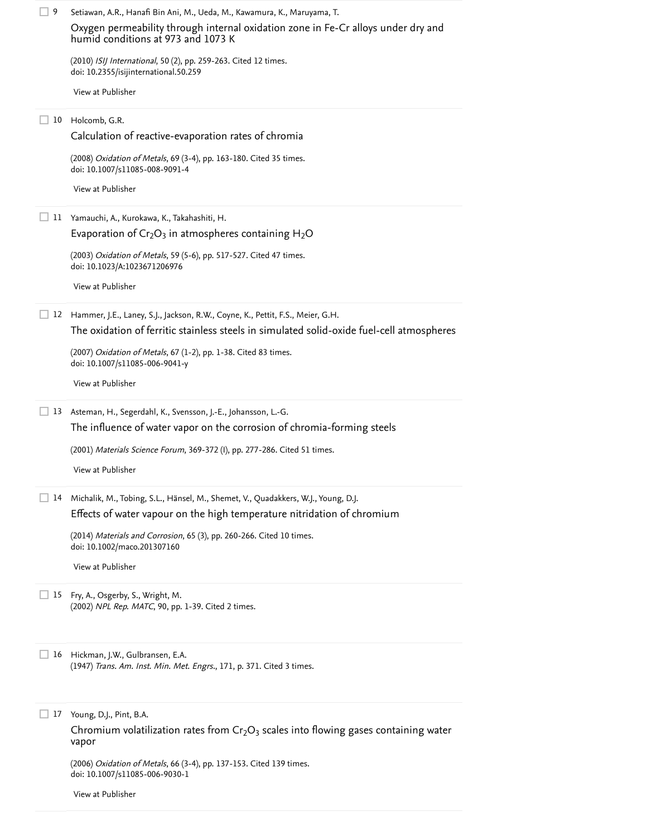| 9  | Setiawan, A.R., Hanafi Bin Ani, M., Ueda, M., Kawamura, K., Maruyama, T.                                                |
|----|-------------------------------------------------------------------------------------------------------------------------|
|    | Oxygen permeability through internal oxidation zone in Fe-Cr alloys under dry and<br>humid conditions at 973 and 1073 K |
|    | (2010) ISIJ International, 50 (2), pp. 259-263. Cited 12 times.<br>doi: 10.2355/isijinternational.50.259                |
|    | View at Publisher                                                                                                       |
| 10 | Holcomb, G.R.                                                                                                           |
|    | Calculation of reactive-evaporation rates of chromia                                                                    |
|    | (2008) Oxidation of Metals, 69 (3-4), pp. 163-180. Cited 35 times.<br>doi: 10.1007/s11085-008-9091-4                    |
|    | View at Publisher                                                                                                       |
| 11 | Yamauchi, A., Kurokawa, K., Takahashiti, H.                                                                             |
|    | Evaporation of $Cr_2O_3$ in atmospheres containing $H_2O$                                                               |
|    | (2003) Oxidation of Metals, 59 (5-6), pp. 517-527. Cited 47 times.<br>doi: 10.1023/A:1023671206976                      |
|    | View at Publisher                                                                                                       |
| 12 | Hammer, J.E., Laney, S.J., Jackson, R.W., Coyne, K., Pettit, F.S., Meier, G.H.                                          |
|    | The oxidation of ferritic stainless steels in simulated solid-oxide fuel-cell atmospheres                               |
|    | (2007) Oxidation of Metals, 67 (1-2), pp. 1-38. Cited 83 times.<br>doi: 10.1007/s11085-006-9041-y                       |
|    | View at Publisher                                                                                                       |
| 13 | Asteman, H., Segerdahl, K., Svensson, J.-E., Johansson, L.-G.                                                           |
|    | The influence of water vapor on the corrosion of chromia-forming steels                                                 |
|    | (2001) Materials Science Forum, 369-372 (I), pp. 277-286. Cited 51 times.                                               |
|    | View at Publisher                                                                                                       |
| 14 | Michalik, M., Tobing, S.L., Hänsel, M., Shemet, V., Quadakkers, W.J., Young, D.J.                                       |
|    | Effects of water vapour on the high temperature nitridation of chromium                                                 |
|    | (2014) Materials and Corrosion, 65 (3), pp. 260-266. Cited 10 times.<br>doi: 10.1002/maco.201307160                     |
|    | View at Publisher                                                                                                       |
| 15 | Fry, A., Osgerby, S., Wright, M.<br>(2002) NPL Rep. MATC, 90, pp. 1-39. Cited 2 times.                                  |
| 16 | Hickman, J.W., Gulbransen, E.A.<br>(1947) Trans. Am. Inst. Min. Met. Engrs., 171, p. 371. Cited 3 times.                |
| 17 | Young, D.J., Pint, B.A.                                                                                                 |
|    | Chromium volatilization rates from $Cr_2O_3$ scales into flowing gases containing water                                 |
|    | vapor                                                                                                                   |
|    | (2006) Oxidation of Metals, 66 (3-4), pp. 137-153. Cited 139 times.<br>doi: 10.1007/s11085-006-9030-1                   |
|    | View at Publisher                                                                                                       |